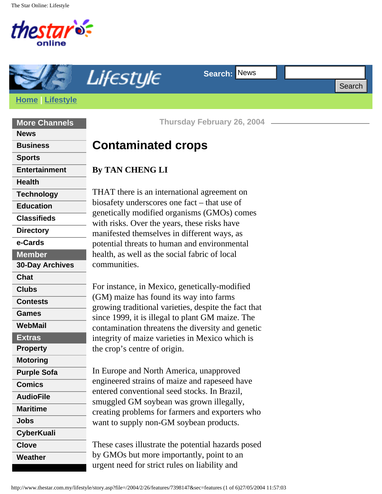The Star Online: Lifestyle



**More Channels**

**[Entertainment](http://www.thestar.com.my/entertainment/)**

 **[Technology](http://www.thestar.com.my/tech/) [Education](http://www.thestar.com.my/news/education/) [Classifieds](http://classifieds.thestar.com.my/)**

 **[Directory](http://search.thestar.com.my/) [e-Cards](http://cards.thestar.com.my/) Member**

 **[Chat](http://chat.mystar.com.my/) [Clubs](http://mystar.com.my/clubs/)**

**[Contests](http://thestar.com.my/contests/)**

 **[Games](http://thestar.com.my/games/) [WebMail](http://mystar.com.my/mail/)**

 **Extras [Property](http://www.star-space.com/) [Motoring](http://www.star-motoring.com/)**

**[Purple Sofa](http://www.thestar.com.my/purplesofa/)**

**[CyberKuali](http://www.thestar.com.my/kuali/)**

 **[Comics](http://www.thestar.com.my/comics/) [AudioFile](http://www.thestar.com.my/audio/) [Maritime](http://www.thestar.com.my/maritime/)**

**[Jobs](http://www.thestar.com.my/jobs/)**

**[Clove](http://www.thestar.com.my/clove/)**

**[Weather](http://www.thestar.com.my/weather/)**

**[30-Day Archives](http://thestar.com.my/news/archives/special.asp)**

**[News](http://www.thestar.com.my/news/)**

**[Sports](http://www.thestar.com.my/news/sports/)**

**[Health](http://www.thestar.com.my/health/)**

**[Business](http://biz.thestar.com.my/)**

**Search: News [Home](http://www.thestar.com.my/) | [Lifestyle](http://www.thestar.com.my/lifestyle/)**

**Thursday February 26, 2004**

# **Contaminated crops**

## **By TAN CHENG LI**

THAT there is an international agreement on biosafety underscores one fact – that use of genetically modified organisms (GMOs) comes with risks. Over the years, these risks have manifested themselves in different ways, as potential threats to human and environmental health, as well as the social fabric of local communities. **Example 11:47:03** Search: News Search: News Search<br>
Noring Lifestyle Thursday February 28, 2004 — News<br>
Norings<br> **Examples 2004** THAT there is an international agreement on<br> **Examples 2004** THAT there is an international

For instance, in Mexico, genetically-modified (GM) maize has found its way into farms growing traditional varieties, despite the fact that since 1999, it is illegal to plant GM maize. The contamination threatens the diversity and genetic integrity of maize varieties in Mexico which is the crop's centre of origin.

In Europe and North America, unapproved engineered strains of maize and rapeseed have entered conventional seed stocks. In Brazil, smuggled GM soybean was grown illegally, creating problems for farmers and exporters who want to supply non-GM soybean products.

These cases illustrate the potential hazards posed by GMOs but more importantly, point to an urgent need for strict rules on liability and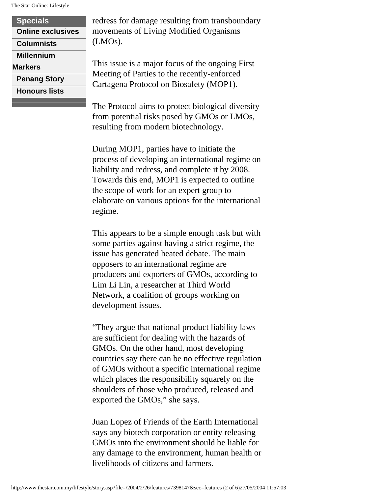The Star Online: Lifestyle

| <b>Specials</b>          |
|--------------------------|
| <b>Online exclusives</b> |
| <b>Columnists</b>        |
| <b>Millennium</b>        |
| <b>Markers</b>           |
| <b>Penang Story</b>      |
| <b>Honours lists</b>     |

redress for damage resulting from transboundary movements of Living Modified Organisms (LMOs).

This issue is a major focus of the ongoing First Meeting of Parties to the recently-enforced Cartagena Protocol on Biosafety (MOP1).

The Protocol aims to protect biological diversity from potential risks posed by GMOs or LMOs, resulting from modern biotechnology.

During MOP1, parties have to initiate the process of developing an international regime on liability and redress, and complete it by 2008. Towards this end, MOP1 is expected to outline the scope of work for an expert group to elaborate on various options for the international regime.

This appears to be a simple enough task but with some parties against having a strict regime, the issue has generated heated debate. The main opposers to an international regime are producers and exporters of GMOs, according to Lim Li Lin, a researcher at Third World Network, a coalition of groups working on development issues.

"They argue that national product liability laws are sufficient for dealing with the hazards of GMOs. On the other hand, most developing countries say there can be no effective regulation of GMOs without a specific international regime which places the responsibility squarely on the shoulders of those who produced, released and exported the GMOs," she says.

Juan Lopez of Friends of the Earth International says any biotech corporation or entity releasing GMOs into the environment should be liable for any damage to the environment, human health or livelihoods of citizens and farmers.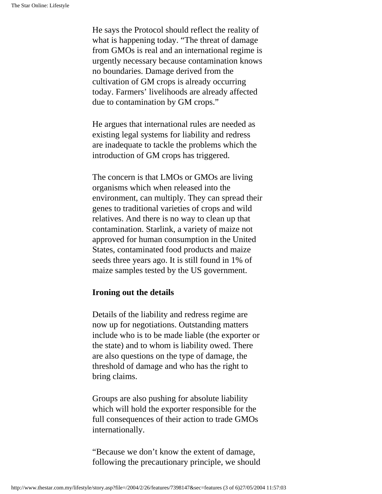He says the Protocol should reflect the reality of what is happening today. "The threat of damage from GMOs is real and an international regime is urgently necessary because contamination knows no boundaries. Damage derived from the cultivation of GM crops is already occurring today. Farmers' livelihoods are already affected due to contamination by GM crops."

He argues that international rules are needed as existing legal systems for liability and redress are inadequate to tackle the problems which the introduction of GM crops has triggered.

The concern is that LMOs or GMOs are living organisms which when released into the environment, can multiply. They can spread their genes to traditional varieties of crops and wild relatives. And there is no way to clean up that contamination. Starlink, a variety of maize not approved for human consumption in the United States, contaminated food products and maize seeds three years ago. It is still found in 1% of maize samples tested by the US government.

#### **Ironing out the details**

Details of the liability and redress regime are now up for negotiations. Outstanding matters include who is to be made liable (the exporter or the state) and to whom is liability owed. There are also questions on the type of damage, the threshold of damage and who has the right to bring claims.

Groups are also pushing for absolute liability which will hold the exporter responsible for the full consequences of their action to trade GMOs internationally.

"Because we don't know the extent of damage, following the precautionary principle, we should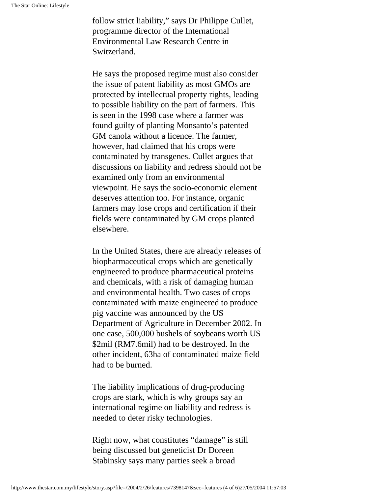follow strict liability," says Dr Philippe Cullet, programme director of the International Environmental Law Research Centre in Switzerland.

He says the proposed regime must also consider the issue of patent liability as most GMOs are protected by intellectual property rights, leading to possible liability on the part of farmers. This is seen in the 1998 case where a farmer was found guilty of planting Monsanto's patented GM canola without a licence. The farmer, however, had claimed that his crops were contaminated by transgenes. Cullet argues that discussions on liability and redress should not be examined only from an environmental viewpoint. He says the socio-economic element deserves attention too. For instance, organic farmers may lose crops and certification if their fields were contaminated by GM crops planted elsewhere.

In the United States, there are already releases of biopharmaceutical crops which are genetically engineered to produce pharmaceutical proteins and chemicals, with a risk of damaging human and environmental health. Two cases of crops contaminated with maize engineered to produce pig vaccine was announced by the US Department of Agriculture in December 2002. In one case, 500,000 bushels of soybeans worth US \$2mil (RM7.6mil) had to be destroyed. In the other incident, 63ha of contaminated maize field had to be burned.

The liability implications of drug-producing crops are stark, which is why groups say an international regime on liability and redress is needed to deter risky technologies.

Right now, what constitutes "damage" is still being discussed but geneticist Dr Doreen Stabinsky says many parties seek a broad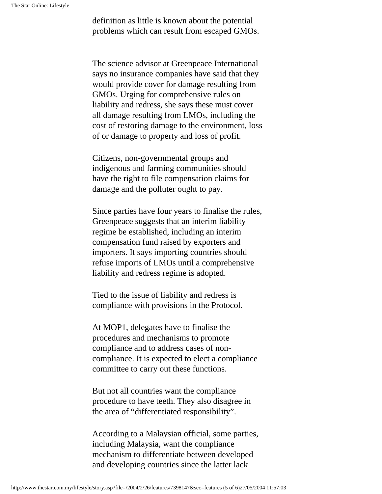definition as little is known about the potential problems which can result from escaped GMOs.

The science advisor at Greenpeace International says no insurance companies have said that they would provide cover for damage resulting from GMOs. Urging for comprehensive rules on liability and redress, she says these must cover all damage resulting from LMOs, including the cost of restoring damage to the environment, loss of or damage to property and loss of profit.

Citizens, non-governmental groups and indigenous and farming communities should have the right to file compensation claims for damage and the polluter ought to pay.

Since parties have four years to finalise the rules, Greenpeace suggests that an interim liability regime be established, including an interim compensation fund raised by exporters and importers. It says importing countries should refuse imports of LMOs until a comprehensive liability and redress regime is adopted.

Tied to the issue of liability and redress is compliance with provisions in the Protocol.

At MOP1, delegates have to finalise the procedures and mechanisms to promote compliance and to address cases of noncompliance. It is expected to elect a compliance committee to carry out these functions.

But not all countries want the compliance procedure to have teeth. They also disagree in the area of "differentiated responsibility".

According to a Malaysian official, some parties, including Malaysia, want the compliance mechanism to differentiate between developed and developing countries since the latter lack